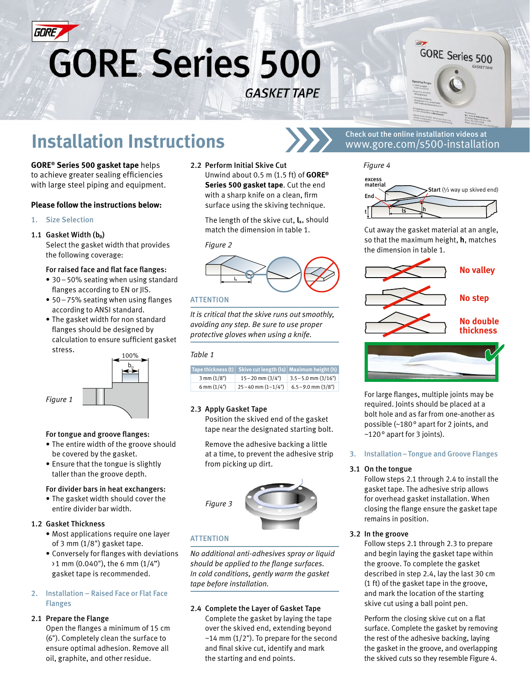

# **GORE Series 500 GASKET TAPE**



# **Installation Instructions**  $\sum \sum$  Check out the online installation videos at

**GORE® Series 500 gasket tape** helps to achieve greater sealing efficiencies with large steel piping and equipment.

#### **Please follow the instructions below:**

1. Size Selection

#### 1.1 Gasket Width (b<sub>n</sub>)

Select the gasket width that provides the following coverage:

#### For raised face and flat face flanges:

- 30–50% seating when using standard flanges according to EN or JIS.
- 50–75% seating when using flanges according to ANSI standard.
- The gasket width for non standard flanges should be designed by calculation to ensure sufficient gasket stress.



#### For tongue and groove flanges:

- The entire width of the groove should be covered by the gasket.
- Ensure that the tongue is slightly taller than the groove depth.

#### For divider bars in heat exchangers:

• The gasket width should cover the entire divider bar width.

#### 1.2 Gasket Thickness

- Most applications require one layer of 3 mm (1/8") gasket tape.
- Conversely for flanges with deviations  $\geq 1$  mm (0.040"), the 6 mm (1/4") gasket tape is recommended.

#### 2. Installation – Raised Face or Flat Face Flanges

#### 2.1 Prepare the Flange

Open the flanges a minimum of 15 cm (6"). Completely clean the surface to ensure optimal adhesion. Remove all oil, graphite, and other residue.

2.2 Perform Initial Skive Cut Unwind about 0.5 m (1.5 ft) of **GORE® Series 500 gasket tape**. Cut the end with a sharp knife on a clean, firm surface using the skiving technique.

The length of the skive cut, **ls**, should match the dimension in table 1.

#### *Figure 2*



#### **ATTENTION**

*It is critical that the skive runs out smoothly, avoiding any step. Be sure to use proper protective gloves when using a knife.* 

#### *Table 1*

|                       | Tape thickness $(t)$ Skive cut length $(1s)$ Maximum height $(h)$ |                         |
|-----------------------|-------------------------------------------------------------------|-------------------------|
| $3 \text{ mm} (1/8")$ | $15 - 20$ mm $(3/4")$                                             | $3.5 - 5.0$ mm $(3/16)$ |
| 6 mm $(1/4")$         | $25 - 40$ mm $(1 - 1/4")$                                         | $6.5 - 9.0$ mm $(3/8")$ |

#### 2.3 Apply Gasket Tape

Position the skived end of the gasket tape near the designated starting bolt.

Remove the adhesive backing a little at a time, to prevent the adhesive strip from picking up dirt.



#### **ATTENTION**

*No additional anti-adhesives spray or liquid should be applied to the flange surfaces. In cold conditions, gently warm the gasket tape before installation.*

#### 2.4 Complete the Layer of Gasket Tape

Complete the gasket by laying the tape over the skived end, extending beyond  $\sim$ 14 mm (1/2"). To prepare for the second and final skive cut, identify and mark the starting and end points.

### www.gore.com/s500-installation

*Figure 4*



Cut away the gasket material at an angle, so that the maximum height, **h**, matches the dimension in table 1.



For large flanges, multiple joints may be required. Joints should be placed at a bolt hole and as far from one-another as possible (~180° apart for 2 joints, and ~120° apart for 3 joints).

#### 3. Installation–Tongue and Groove Flanges

#### 3.1 On the tongue

Follow steps 2.1 through 2.4 to install the gasket tape. The adhesive strip allows for overhead gasket installation. When closing the flange ensure the gasket tape remains in position.

#### 3.2 In the groove

Follow steps 2.1 through 2.3 to prepare and begin laying the gasket tape within the groove. To complete the gasket described in step 2.4, lay the last 30 cm (1 ft) of the gasket tape in the groove, and mark the location of the starting skive cut using a ball point pen.

Perform the closing skive cut on a flat surface. Complete the gasket by removing the rest of the adhesive backing, laying the gasket in the groove, and overlapping the skived cuts so they resemble Figure 4.